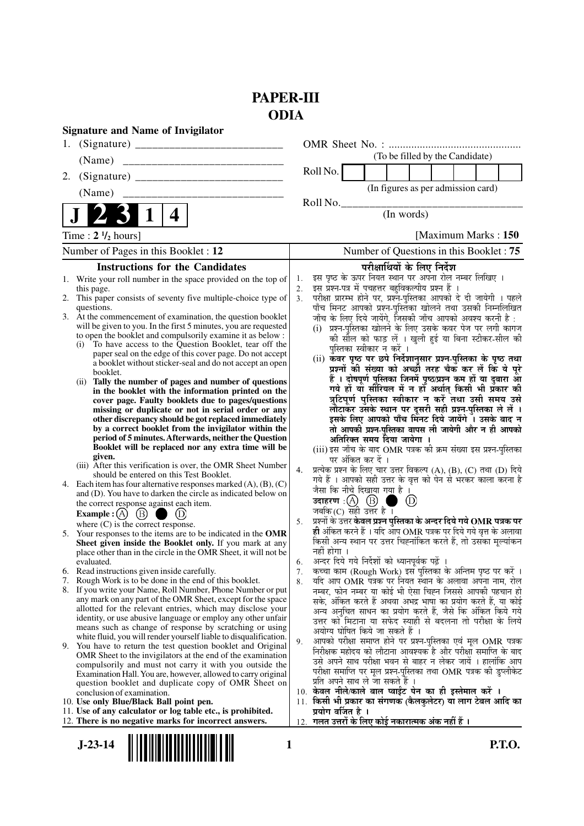## **PAPER-III ODIA**

|                                 | <b>Signature and Name of Invigilator</b>                                                                                    |                      |                                                                                                                                                                        |  |  |  |  |
|---------------------------------|-----------------------------------------------------------------------------------------------------------------------------|----------------------|------------------------------------------------------------------------------------------------------------------------------------------------------------------------|--|--|--|--|
|                                 |                                                                                                                             |                      |                                                                                                                                                                        |  |  |  |  |
|                                 | (Name)                                                                                                                      |                      | (To be filled by the Candidate)                                                                                                                                        |  |  |  |  |
| 2.                              |                                                                                                                             |                      | Roll No.                                                                                                                                                               |  |  |  |  |
|                                 |                                                                                                                             |                      | (In figures as per admission card)                                                                                                                                     |  |  |  |  |
|                                 | $\mathbf 1$<br>4                                                                                                            |                      | Roll No.<br>(In words)                                                                                                                                                 |  |  |  |  |
|                                 |                                                                                                                             |                      |                                                                                                                                                                        |  |  |  |  |
|                                 | Time: $2 \frac{1}{2}$ hours]                                                                                                | [Maximum Marks: 150] |                                                                                                                                                                        |  |  |  |  |
|                                 | Number of Pages in this Booklet : 12                                                                                        |                      | Number of Questions in this Booklet: 75                                                                                                                                |  |  |  |  |
|                                 | <b>Instructions for the Candidates</b>                                                                                      |                      | परीक्षार्थियों के लिए निर्देश                                                                                                                                          |  |  |  |  |
|                                 | 1. Write your roll number in the space provided on the top of<br>this page.                                                 | 1.<br>2.             | इस पृष्ठ के ऊपर नियत स्थान पर अपना रोल नम्बर लिखिए ।<br>इस प्रश्न-पत्र में पचहत्तर बहुविकल्पीय प्रश्न हैं ।                                                            |  |  |  |  |
|                                 | 2. This paper consists of seventy five multiple-choice type of                                                              | 3.                   | परीक्षा प्रारम्भ होने पर, प्रश्न-पुस्तिका आपको दे दी जायेगी । पहले                                                                                                     |  |  |  |  |
|                                 | questions.<br>3. At the commencement of examination, the question booklet                                                   |                      | पाँच मिनट आपको प्रश्न-पुस्तिका खोलने तथा उसकी निम्नलिखित<br>जाँच के लिए दिये जायेंगे, जिसकी जाँच आपको अवश्य करनी है :                                                  |  |  |  |  |
|                                 | will be given to you. In the first 5 minutes, you are requested                                                             |                      | (i) प्रश्न-पुस्तिका खोलने के लिए उसके कवर पेज पर लगी कागज                                                                                                              |  |  |  |  |
|                                 | to open the booklet and compulsorily examine it as below :                                                                  |                      | की सील को फाड़ लें । खुली हुई या बिना स्टीकर-सील की                                                                                                                    |  |  |  |  |
|                                 | (i) To have access to the Question Booklet, tear off the<br>paper seal on the edge of this cover page. Do not accept        |                      | पुस्तिका स्वीकार न करें ।                                                                                                                                              |  |  |  |  |
|                                 | a booklet without sticker-seal and do not accept an open                                                                    |                      | (ii) कवर पृष्ठ पर छपे निर्देशानुसार प्रश्न्-पुस्तिका के पृष्ठ तथा<br>प्रश्नों की संख्या को अच्छी तरह चैक कर लें कि ये पूरे                                             |  |  |  |  |
|                                 | booklet.<br>Tally the number of pages and number of questions<br>(ii)                                                       |                      | हैं । दोषपूर्ण पुस्तिका जिनमें पृष्ठ/प्रश्न कम हों या दुबारा आ                                                                                                         |  |  |  |  |
|                                 | in the booklet with the information printed on the                                                                          |                      | गये हों या सौरियल में न हों अर्थात किसी भी प्रकार की                                                                                                                   |  |  |  |  |
|                                 | cover page. Faulty booklets due to pages/questions<br>missing or duplicate or not in serial order or any                    |                      | त्रुटिपूर्ण पुस्तिका स्वीकार न करें तथा उसी समय उसे<br>लौटाकर उसके स्थान पर दूसरी सही प्रश्न-पुस्तिका ले लें ।                                                         |  |  |  |  |
|                                 | other discrepancy should be got replaced immediately                                                                        |                      | इसके लिए आपको पाँच मिनट दिये जायेंगे । उसके बाद न                                                                                                                      |  |  |  |  |
|                                 | by a correct booklet from the invigilator within the                                                                        |                      | तो आपकी प्रश्न-पुस्तिका वापस ली जायेगी और न ही आपको                                                                                                                    |  |  |  |  |
|                                 | period of 5 minutes. Afterwards, neither the Question<br>Booklet will be replaced nor any extra time will be                |                      | अतिरिक्त समय दिया जायेगा ।<br>(iii) इस जाँच के बाद OMR पत्रक की क्रम संख्या इस प्रश्न-पुस्तिका                                                                         |  |  |  |  |
|                                 | given.                                                                                                                      |                      | पर अंकित कर दें ।                                                                                                                                                      |  |  |  |  |
|                                 | (iii) After this verification is over, the OMR Sheet Number<br>should be entered on this Test Booklet.                      | 4.                   | प्रत्येक प्रश्न के लिए चार उत्तर विकल्प (A), (B), (C) तथा (D) दिये                                                                                                     |  |  |  |  |
|                                 | 4. Each item has four alternative responses marked $(A)$ , $(B)$ , $(C)$                                                    |                      | गये हैं । आपको सही उत्तर के वृत्त को पेन से भरकर काला करना है                                                                                                          |  |  |  |  |
|                                 | and (D). You have to darken the circle as indicated below on                                                                |                      | जैसा कि नीचे दिखाया गया है ।<br>उदाहरण : $\left(\!\begin{matrix} A \end{matrix}\right)$ $\left(\!\begin{matrix} B \end{matrix}\!\right)$<br>$\circled{\scriptstyle D}$ |  |  |  |  |
|                                 | the correct response against each item.<br>Example : $(A)$ $(B)$ 1<br>$\Box$ $\Box$                                         |                      | जबकि (C) सही उत्तर है।                                                                                                                                                 |  |  |  |  |
|                                 | where $(C)$ is the correct response.                                                                                        | 5.                   | प्रश्नों के उत्तर <b>केवल प्रश्न पुस्तिका के अन्दर दिये गये OMR पत्रक पर</b>                                                                                           |  |  |  |  |
|                                 | 5. Your responses to the items are to be indicated in the OMR                                                               |                      | ही अंकित करने हैं । यदि आप OMR पत्रक पर दिये गये वृत्त के अलावा                                                                                                        |  |  |  |  |
|                                 | Sheet given inside the Booklet only. If you mark at any<br>place other than in the circle in the OMR Sheet, it will not be  |                      | किसी अन्य स्थान पर उत्तर चिह्नांकित करते हैं, तो उसका मूल्यांकन<br>नहीं होगा ।                                                                                         |  |  |  |  |
|                                 | evaluated.                                                                                                                  | 6.                   | अन्दर दिये गये निर्देशों को ध्यानपूर्वक पढ़ें ।                                                                                                                        |  |  |  |  |
|                                 | 6. Read instructions given inside carefully.                                                                                | 7.                   | कच्चा काम (Rough Work) इस पुस्तिका के अन्तिम पृष्ठ पर करें ।                                                                                                           |  |  |  |  |
|                                 | 7. Rough Work is to be done in the end of this booklet.<br>8. If you write your Name, Roll Number, Phone Number or put      | 8.                   | र्याद आप OMR पत्रक पर नियत स्थान के अलावा अपना नाम, रोल<br>नम्बर, फोन नम्बर या कोई भी ऐसा चिह्न जिससे आपकी पहचान हो                                                    |  |  |  |  |
|                                 | any mark on any part of the OMR Sheet, except for the space                                                                 |                      | सके, अंकित करते हैं अथवा अभद्र भाषा का प्रयोग करते हैं, या कोई                                                                                                         |  |  |  |  |
|                                 | allotted for the relevant entries, which may disclose your<br>identity, or use abusive language or employ any other unfair  |                      | अन्य अनुचित साधन का प्रयोग करते हैं, जैसे कि अंकित किये गये                                                                                                            |  |  |  |  |
|                                 | means such as change of response by scratching or using                                                                     |                      | उत्तर को मिटाना या सफेद स्याही से बदलना तो परीक्षा के लिये<br>अयोग्य घोषित किये जा सकते हैं ।                                                                          |  |  |  |  |
|                                 | white fluid, you will render yourself liable to disqualification.                                                           | 9.                   | आपको परीक्षा समाप्त होने पर प्रश्न-पुस्तिका एवं मूल OMR पत्रक                                                                                                          |  |  |  |  |
|                                 | 9. You have to return the test question booklet and Original<br>OMR Sheet to the invigilators at the end of the examination |                      | निरीक्षक महोदय को लौटाना आवश्यक है और परीक्षा समाप्ति के बाद                                                                                                           |  |  |  |  |
|                                 | compulsorily and must not carry it with you outside the                                                                     |                      | उसे अपने साथ परीक्षा भवन से बाहर न लेकर जायें । हालांकि आप<br>परीक्षा समाप्ति पर मूल प्रश्न-पुस्तिका तथा OMR पत्रक की डुप्लीकेट                                        |  |  |  |  |
|                                 | Examination Hall. You are, however, allowed to carry original<br>question booklet and duplicate copy of OMR Sheet on        |                      | प्रति अपने साथ ले जा सकते हैं ।                                                                                                                                        |  |  |  |  |
|                                 | conclusion of examination.                                                                                                  |                      | 10. केवल नीले/काले बाल प्वाईंट पेन का ही इस्तेमाल करें ।                                                                                                               |  |  |  |  |
|                                 | 10. Use only Blue/Black Ball point pen.                                                                                     | 11.                  | किसी भी प्रकार का संगणक (कैलकुलेटर) या लाग टेबल आदि का                                                                                                                 |  |  |  |  |
|                                 | 11. Use of any calculator or log table etc., is prohibited.<br>12. There is no negative marks for incorrect answers.        | 12.                  | प्रयोग वर्जित है ।<br>गलत उत्तरों के लिए कोई नकारात्मक अंक नहीं हैं ।                                                                                                  |  |  |  |  |
|                                 |                                                                                                                             |                      |                                                                                                                                                                        |  |  |  |  |
| <b>P.T.O.</b><br>$J-23-14$<br>1 |                                                                                                                             |                      |                                                                                                                                                                        |  |  |  |  |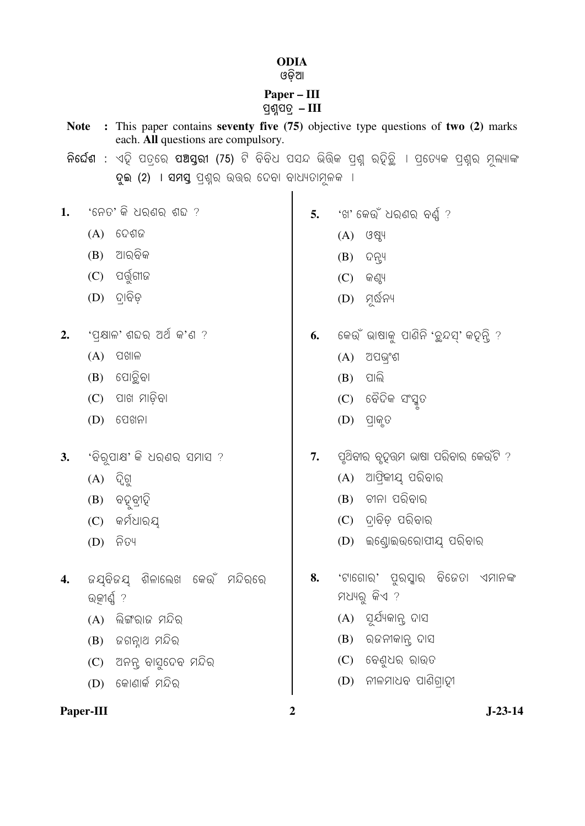## **ODIA**

## Paper – III<br>ପ୍ରଶ୍ନପତ୍ର – III

| <b>Note</b><br>each. All questions are compulsory. |                                              | : This paper contains seventy five (75) objective type questions of two (2) marks |    |                                                                                                      |  |
|----------------------------------------------------|----------------------------------------------|-----------------------------------------------------------------------------------|----|------------------------------------------------------------------------------------------------------|--|
|                                                    |                                              |                                                                                   |    | ନିର୍ଘେଶ : ଏହି ପତ୍ରରେ ପଅସ୍ତରୀ (75) ଟି ବିବିଧ ପସନ୍ଦ ଭିତ୍ତିକ ପ୍ରଶ୍ନ ରହିଚ୍ଛି । ପ୍ରତ୍ୟେକ ପ୍ରଶ୍ନର ମୂଲ୍ୟାଙ୍କ |  |
|                                                    |                                              | ଦୁଇ (2) I ସମସ୍ତ ପ୍ରଶ୍ନର ଉତ୍ତର ଦେବା ବାଧ୍ୟତାମୂଳକ l                                  |    |                                                                                                      |  |
| 1.                                                 |                                              | 'ନେତ' କି ଧର୍ଣର ଶବ୍ଦ ?                                                             |    |                                                                                                      |  |
|                                                    |                                              |                                                                                   | 5. | 'ଖ' କେଉଁ ଧରଣର ବର୍ଣ୍ଣ ?                                                                               |  |
|                                                    | (A)                                          | ଦେଶଜ                                                                              |    | (A)<br>ଓଷ୍ଟ୍ୟ                                                                                        |  |
|                                                    | (B)                                          | ଆରବିକ                                                                             |    | ଦନ୍ତ୍ୟ<br>(B)                                                                                        |  |
|                                                    | (C)                                          | ପର୍ଗୁଗୀଜ                                                                          |    | (C)<br>କଣ୍ଠ୍ୟ                                                                                        |  |
|                                                    | (D)                                          | ଦାବିଡ଼                                                                            |    | ମୂର୍ଦ୍ଧନ୍ୟ<br>(D)                                                                                    |  |
| 2.                                                 |                                              | 'ପ୍କ୍ଷାଳ' ଶବ୍ଦର ଅର୍ଥ କ'ଣ ?                                                        | 6. | କେଉଁ ଭାଷାକୁ ପାଣିନି 'ଚ୍ଛନ୍ଦସ୍' କହ୍ନ୍ତି ?                                                              |  |
|                                                    | (A)                                          | ପଖାଳ                                                                              |    | ଅପଭ୍ଂଶ<br>(A)                                                                                        |  |
|                                                    | (B)                                          | ପୋତ୍ଥିବା                                                                          |    | ପାଲି<br>(B)                                                                                          |  |
|                                                    | (C)                                          | ପାଖ ମାଡ଼ିବା                                                                       |    | ବୈଦିକ ସଂସ୍କୃତ<br>(C)                                                                                 |  |
|                                                    | (D)                                          | ପେଖନା                                                                             |    | (D)<br>ପ୍ରାକୃତ                                                                                       |  |
| 3.                                                 | 'ବିରୂପାକ୍ଷ' କି ଧରଣର ସମାସ ?                   |                                                                                   | 7. | ପୃଥିବୀର ବୃଦୁତ୍ତମ ଭାଷା ପରିବାର କେଉଁଟି ?                                                                |  |
|                                                    | (A)                                          | ଦ୍ୱିଗୁ                                                                            |    | ଆଫ୍ରିକୀୟୁ ପରିବାର<br>(A)                                                                              |  |
|                                                    | (B)                                          | ବହୂବ୍ରୀହି                                                                         |    | ଚୀନା ପରିବାର<br>(B)                                                                                   |  |
|                                                    | (C)                                          | କର୍ମଧାର୍ଯ୍                                                                        |    | ଦାବିଡ଼ ପରିବାର<br>(C)                                                                                 |  |
|                                                    | (D)                                          | ନିତ୍ୟ                                                                             |    | ଇଣ୍ଡୋଇଉରୋପୀୟ ପରିବାର<br>(D)                                                                           |  |
| 4.                                                 | ଜୟବିଜୟ ଶିଳାଲେଖ କେଉଁ ମନ୍ଦିରରେ<br>ଉତ୍କୀର୍ଣ୍ଣ ? |                                                                                   | 8. | 'ଟାଗୋର' ପୁରସ୍କାର ବିଜେତା ଏମାନଙ୍କ                                                                      |  |
|                                                    |                                              |                                                                                   |    | ମଧ୍ୟରୁ କିଏ ?                                                                                         |  |
|                                                    | (A)                                          | ଲିଙ୍ଗରାଜ ମନ୍ଦିର                                                                   |    | (A) ସୂର୍ଯ୍ୟକାନ୍ତ ଦାସ                                                                                 |  |
|                                                    | (B)                                          | ଜଗନ୍ନାଥ ମନ୍ଦିର                                                                    |    | ରଜନୀକାନ୍ତ ଦାସ<br>(B)                                                                                 |  |
|                                                    | (C)                                          | ଅନନ୍ତ ବାସୁଦେବ ମନ୍ଦିର                                                              |    | (C) ବେଣୁଧର ରାଉତ                                                                                      |  |
|                                                    | (D)                                          | କୋଣାର୍କ ମନ୍ଦିର                                                                    |    | ନୀଳମାଧବ ପାଣିଗ୍ରାହୀ<br>(D)                                                                            |  |

 $\overline{\mathbf{c}}$ 

 $J-23-14$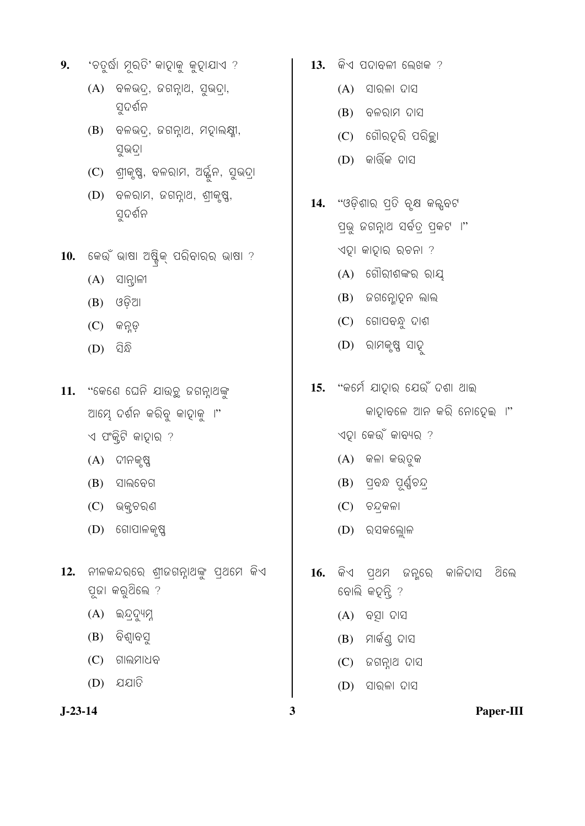- 'ଚତୁର୍ଦ୍ଧା ମୂର୍ତି' କାହାକୁ କୁହାଯାଏ ? 9.
	- $(A)$  ବଳଭଦ୍ର, ଜଗନ୍ନାଥ, ସୁଭଦ୍ରା, ସୁଦର୍ଶନ
	- $(B)$  ବଳଭଦ୍, ଜଗନ୍ନାଥ, ମହାଲକ୍ଷ୍ମୀ, ସୁଭଦ୍ରା
	- (C) ଶ୍ରୀକୃଷ୍ଣ, ବଳରାମ, ଅର୍ଜୁନ, ସୁଭଦ୍ରା
	- ବଳରାମ, ଜଗନ୍ନାଥ, ଶ୍ରୀକୃଷ୍ଣ,  $(D)$ ସ୍ତର୍ଶନ
- 10. କେଉଁ ଭାଷା ଅଷ୍ଟିକ୍ ପରିବାରର ଭାଷା ?
	- $(A)$  ସାନ୍ଦ୍ରାଳୀ
	- $(B)$   $\sqrt{36}$ ଆ
	- $(C)$  କନ୍ତୁ
	- $(D)$  ପିନ୍ଧି
- 11. "କେଣେ ଘେନି ଯାଉଚୁ ଜଗନ୍।ଥଙ୍କ ଆମ୍ଭେ ଦର୍ଶନ କରିବୁ କାହାକୁ ।"  $\triangleleft$  ପଂକ୍କିଟି କାଦ୍ନାର ?
	-
	- $(A)$  ଦୀନକୃଷ୍ଣ
	- $(B)$  ସାଲବେଗ
	- $(C)$  ଭକ୍ଷଚରଣ
	- $(D)$  ଗୋପାଳକୃଷ୍ଣ
- 12. ନୀଳକନ୍ଦରରେ ଶ୍ରୀଜଗନ୍ନାଥଙ୍କୁ ପ୍ରଥମେ କିଏ ପୂଜା କରୁଥିଲେ ?
	- $(A)$  ଇନ୍ଦ୍ରଦ୍ୟୁମ୍ନ
	- $(B)$  ବିଶ୍ୱାବସ
	- $(C)$  ଗାଲମାଧବ
	- $(D)$  ଯଯାତି
- $J-23-14$
- $13.$  କିଏ ପଦାବଳୀ ଲେଖକ ?
	- $(A)$  ସାରଳା ଦାସ
	- $(B)$  ବଳରାମ ଦାସ
	- $(C)$  ଗୌରହରି ପରିଚ୍ଛା
	- $(D)$  କାର୍ତ୍ତିକ ଦାସ
- "ଓଡ଼ିଶାର ପ୍ରତି ବୃକ୍ଷ କଲ୍ସବଟ 14. ପ୍ଭୁ ଜଗନ୍ନାଥ ସର୍ବତ୍ ପ୍କଟ**ା**" ଏହା କାହାର ରଚନା ?
	- $(A)$  ଗୌରୀଶଙ୍କର ରାୟ
	- $(B)$  ଜଗନ୍ଲୋହୁନ ଲାଲ
	- $(C)$  ଗୋପବନ୍ଧୁ ଦାଶ
	- (D) ରାମକୃଷ୍ଣ ସାହ
- 15. "କର୍ମେ ଯାହାର ଯେଉଁ ଦଶା ଥାଇ କାହାବଳେ ଆନ କରି ନୋହେଇ ।"
	- ଏହା କେଉଁ କାବ୍ୟର ?
	- $(A)$  କଳା କର୍ତୁକ
	- (B) ପ୍ରଦ ପୂର୍ଣ୍ଣଚନ୍ଦ୍ର
	- $(C)$  ଚନ୍ଦଳଳା
	- $(D)$  ର୍ସକଲ୍ୋଳ
- କିଏ ପ୍ଥମ ଜନୁରେ କାଳିଦାସ ିଥିଲେ 16. ବୋଲି କହନ୍ତି ?
	- $(A)$  ବସ୍ତା ଦାସ
	- $(B)$  ମାର୍କଣ୍ଠ ଦାସ
	- $(C)$  ଜଗନ୍ନାଥ ଦାସ
	- $(D)$  ସାରଳା ଦାସ

 $\overline{\mathbf{3}}$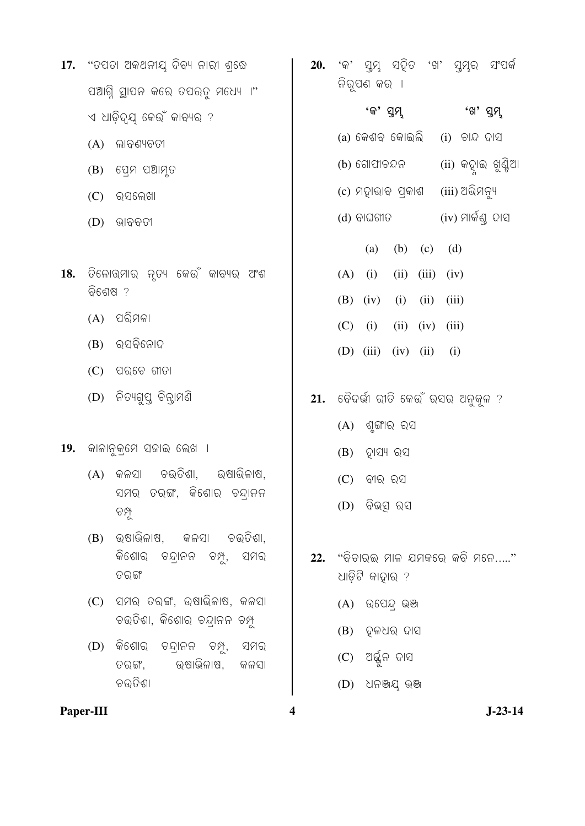- 17. "ତପତା ଅକଥନୀୟ ଦିବ୍ୟ ନାରୀ ଶଢେ ପଆଗ୍ନି ସ୍ଥାପନ କରେ ତପରତ୍ର ମଧ୍ୟୋ ।" ଏ ଧାଡିଦ୍ୟ କେଉଁ କାବ୍ୟର ?
	- $(A)$  ଲାବଣ୍ୟବତୀ
	- $(B)$  ସେମ ପଆମୃତ
	- $(C)$  ର୍ସଲେଖା
	- $(D)$  ଭାବବତୀ
- 18. ତିଳୋଭ୍ମାର ନତ୍ୟ କେଉଁ କାବ୍ୟର ଅଂଶ ଚିଶେଷ ?
	- $(A)$  ପରିମଳା
	- $(B)$  ରସବିନୋଦ
	- $(C)$  ପରଚେ ଗୀତା
	- (D) ନିତ୍ୟଗୁପ୍ନ ଚିନ୍ନାମଣି
- 19. କାଳାନୁକ୍ମେ ସଜାଇ ଲେଖ ।
	- ଚଉତିଶା, ଉଷାଭିଳାଷ,  $(A)$  ଜଳସା ସମର ତରଙ୍ଗ, କିଶୋର ଚନ୍ଦ୍ରାନନ 99
	- (B) ଉଷାଭିଳାଷ, କଳସା ଚଉତିଶା, କିଶୋର ଚନ୍ଦ୍ରାନନ ଚମ୍ପୁ, ସମର ତରଙ୍ଗ
	- $(C)$  ସମର ତରଙ୍ଗ, ଉଷାଭିଳାଷ, କଳସା ଚଉତିଶା, କିଶୋର୍ ଚନ୍ଦାନନ ଚମ୍ପ
	- $(D)$  କିଶୋର ଚନ୍ଦାନନ ଚମ୍ପୁ, ସମର ଉଷାଭିଳାଷ, ତରଙ୍ଗ, କଳସା ଚଉତିଶା
- Paper-III

'କ' ସ୍ୱମ୍ନ ସହିତ 'ଖ' ସ୍ୱମ୍ନର ସଂପର୍କ 20. ନିରୁପଣ କର ।

> 'କ' ସ୍ୱମ୍ 'ଖ' ସ୍ୱମ୍

(a) କେଶବ କୋଇଲି  $(i)$  ଚାନ୍ଦ ଦାସ

- (ii) କହାଇ ଖୁଣ୍ଟିଆ (b) ଗୋପୀଚନ୍ଦନ
- (iii) ଅଭିମନ୍ୟ (c) ମହାଭାବ ପ୍କାଶ
- (iv) ମାର୍କଣ୍ଠ ଦାସ  $(d)$  ବାଘଗୀତ
- (b) (c) (d)  $(a)$  $(A)$  (i)  $(ii)$   $(iii)$   $(iv)$  $(B)$  (iv)  $(ii)$   $(iii)$  $(i)$  $(C)$  (i)  $(ii)$   $(iv)$   $(iii)$ (D)  $(iii)$   $(iv)$   $(ii)$  $(i)$
- $21.$  ଚୈଦର୍ଭୀ ରୀତି କେଉଁ ରସର ଅନୁକୂଳ ?
	- $(A)$  ଶୃଙ୍ଗାର ରସ
	- $(B)$  ହାସ୍ୟ ରସ
	- $(C)$  ବୀର ରସ
	- (D) ବିଭ୍ସ ରସ
- $22.$  "ବିଚାରଇ ମାଳ ଯମକରେ କବି ମନେ....." ଧାଡ଼ିଟି କାଦ୍ନାର ?
	- $(A)$  ଉପେନ୍ଦ୍ ଭଞ୍ଜ
	- $(B)$  ଦଳଧର ଦାସ
	- $(C)$  ଅର୍ଜ୍ଜିନ ଦାସ
	- $(D)$  ଧନଞ୍ଜଯ୍ ଭଞା

 $\overline{\mathbf{4}}$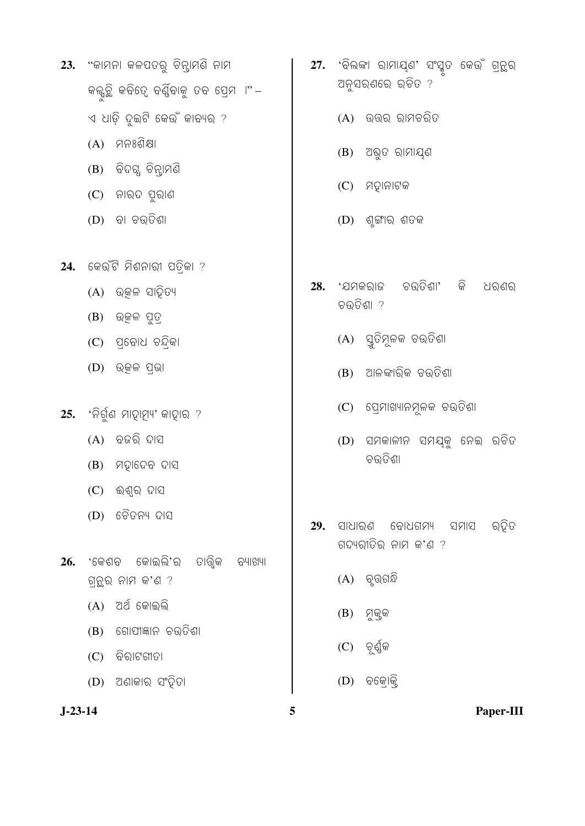- 23. "କାମନା କଳପତରୁ ଚିନ୍ତାମଣି ନାମ କଲ୍କୃତ୍ତି କବିତ୍ୱେ ବର୍ଣ୍ଣିବାକୁ ତବ ପ୍ରେମ ।"*–* ଏ ଧାଡ଼ି ଦୁଇଟି କେଉଁ କାବ୍ୟର ?
	- (A) ମନଃଶିକ୍ଷା
	- (B) ବିଦଗ୍ଧ ଚିନ୍ତାମଣି
	- $(C)$  ନାର୍ଦ ପୁରାଣ
	- $(D)$  ବା ଚଉତିଶା
- 24. କେଉଁଟି ମିଶନାରୀ ପତିକା ?
	- $(A)$  ଉୂଜଳ ସାହିତ୍ୟ
	- $(B)$  ଉତ୍କଳ ପୁତ୍ର
	- (C) ପ୍ରୋଧ ଚନ୍ଦିକା
	- $(D)$  ଉତ୍କଳ ପ୍ଭା
- 25. 'ନିର୍ଗୁଣ ମାହାମ୍ୟ' କାହାର ?
	- $(A)$  ବଜରି ଦାସ
	- $(B)$  ମହାଦେବ ଦାସ
	- $(C)$  ଈଶ୍ୱର ଦାସ
	- (D) ଚୈତନ୍ୟ ଦାସ
- 26. 'କେଶବ କୋଇଲି'ର ତାତ୍ତ୍ୱିକ ବ୍ୟାଖ୍ୟା ଗ୍ନୁର ନାମ କ'ଣ ?
	- $(A)$  ଅର୍ଥ କୋଇଲି
	- $(B)$  ଗୋପୀଜ୍ଞାନ ଚଉତିଶା
	- $(C)$  ବିରାଟଶୀତା
	- $(D)$  ଅଣାକାର ସଂହିତା
- $J-23-14$
- 27. 'ବିଲଙ୍କା ରାମାଯ୍ଣ' ସଂସ୍କୃତ କେଉଁ ଗ୍ରନ୍ଥର ଅନୁସରଣରେ ରଚିତ ?
	- $(A)$  ଉତ୍ତର ରାମଚରିତ
	- $(B)$  ଅଭୁତ ରାମାଯ୍ଣ
	- $(C)$  ମହାନାଟକ
	- $(D)$  ଶୂଙ୍ଗୀର ଶତକ
- 28. 'ଯମକରାଜ ଚଉତିଶା' କି ଧରଣର ଚଉତିଶା ?
	- (A) ସ୍ତୁତିମୂଳକ ଚଉତିଶା
	- (B) ଆଳଙ୍କାରିକ ଚଉତିଶା
	- (C) ପ୍ରେମାଖ୍ୟାନମୂଳକ ଚଉତିଶା
	- (D) ସମକାଳୀନ ସମୟକୁ ନେଇ ରଚିତ ଚଉତିଶା
- 29. ସାଧାରଣ ବୋଧଗମ୍ୟ ସମାସ ର୍ଡ଼ିତ ଗଦ୍ୟରୀତିର ନାମ କ'ଣ ?
	- $(A)$  ବୃତ୍ତଗନ୍ଧି
	- $(B)$  ମୁକୁକ
	- $(C)$  ଚୂର୍ଣ୍ଣିକ
	- $(D)$  ବକୋକି

5

Paper-III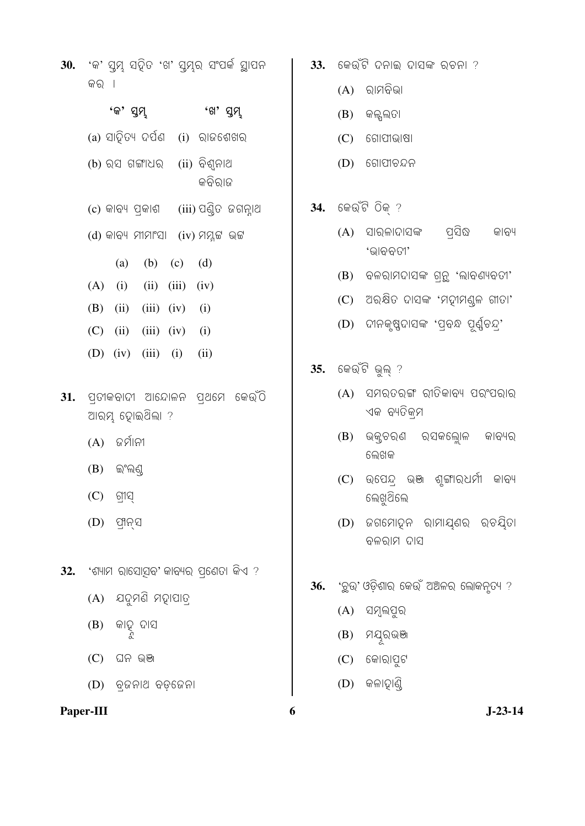30. 'କ' ସ୍ତମ୍ଭ ସହିତ 'ଖ' ସ୍ତମ୍ଭ ସଂପର୍କ ସ୍ଥାପନ କର ।

|  | 'କ' ସୁମ୍ଭ |                                    | 'ଖ' ସୁମ୍ |                                          |
|--|-----------|------------------------------------|----------|------------------------------------------|
|  |           | (a) ସାହିତ୍ୟ ଦର୍ପଣ (i) ରାଜଶେଖର      |          |                                          |
|  |           | (b) ରସ ଗଙ୍ଗାଧର (ii) ବିଶ୍ୱନାଥ       | କବିରାଜ   |                                          |
|  |           |                                    |          | (c) କାବ୍ୟ ପ୍ରକାଶ    (iii) ପଣ୍ଡିତ ଜଗନ୍ନାଥ |
|  |           | (d) କାବ୍ୟ ମୀମାଂସା (iv) ମମ୍ନୁଟ ଭଟ୍ଟ |          |                                          |
|  |           | (a) (b) (c) (d)                    |          |                                          |
|  |           | $(A)$ (i) (ii) (iii) (iv)          |          |                                          |
|  |           | (B) (ii) (iii) (iv) (i)            |          |                                          |
|  |           | $(C)$ (ii) (iii) (iv) (i)          |          |                                          |
|  |           | (D) (iv) (iii) (i) (ii)            |          |                                          |

- $31.$  ପ୍ରଗକବାଦୀ ଆନ୍ଦୋଳନ ପ୍ଥମେ କେଉଁଠି ଆରମ୍ଭ ହୋଇଥିଲା ?
	- $(A)$  ଜର୍ମାନୀ
	- $(B)$  ଇଂଲଣ୍ଡ
	- $(C)$  ଗୀସ
	- $(D)$  ପ୍ୟନସ
- $32.$  'ଶ୍ୟାମ ରାସୋସବ' କାବ୍ୟର ପ୍ରେତା କିଏ ?
	- $(A)$  ଯଦୁମଣି ମହାପାତ୍
	- କାତୁ ଦାସ<br>ୃ (B)
	- $(C)$  ଘନ ଭଞା
	- $(D)$  ବ୍ଜନାଥ ବଡ଼ଜେନା

## Paper-III

6

36.

- $33.$  କେଉଁଟି ଦନାଇ ଦାସଙ୍କ ରଚନା ?
	- $(A)$  ରାମବିଭା
	- $(B)$  ଜଳ୍ପଲତା
	- $(C)$  ଗୋପୀଭାଷା
	- $(D)$  ଗୋପୀଚନ୍ଦନ
- 34. କେଉଁଟି ଠିକ୍ ?
	- ପସିଦ୍ଧ (A) ସାରଳାଦାସଙ୍କ କାବ୍ୟ 'ଭାବବତୀ'
	- $(B)$  ବଳରାମଦାସଙ୍କ ଗ୍ରନ୍ଥ 'ଲାବଣ୍ୟବତୀ'
	- $(C)$  ଅର୍କ୍ଷିତ ଦାସଙ୍କ 'ମହୀମଣ୍ଳ ଗୀତା'
	- (D) ଦୀନକୃଷ୍ଣଦାସଙ୍କ 'ପ୍ରଦ୍ଧ ପୂର୍ଣ୍ଣଚନ୍ଦ୍ର'
- 35. କେଉଁଟି ଭୁଲ<sup>?</sup>
	- (A) ସମରତରଙ୍ଗ ରୀତିକାବ୍ୟ ପରଂପରାର ଏକ ବ୍ୟତିକ୍ମ
	- (B) ଭକ୍ତରଣ ରସକଲ୍ଲୋଳ କାବ୍ୟର
	- ଲେଖକ
	- (C) ଉପେନ୍ଦ ଭଞ୍ଜ ଶୂଙ୍ଗାର୍ଧର୍ମୀ କାବ୍ୟ
	-
	- ଲେଖୁଥିଲେ
	- (D) ଜଗମୋହନ ରାମାୟଣର ରଚୟିତା
	- ବଳରାମ ଦାସ
	-
	-
	-
	-

'ଚ୍ଛୁଉ' ଓଡ଼ିଶାର କେଉଁ ଅଅଳର ଲୋକନୃତ୍ୟ ?

- 
- $(C)$  କୋରାପୁଟ

 $(D)$  କଳାହାଣି

- 
- (B) ମୟୂରଭଞା
- 
- 
- 
- -
- 
- -
- (A) ସମ୍ବଲପୁର
- - $J-23-14$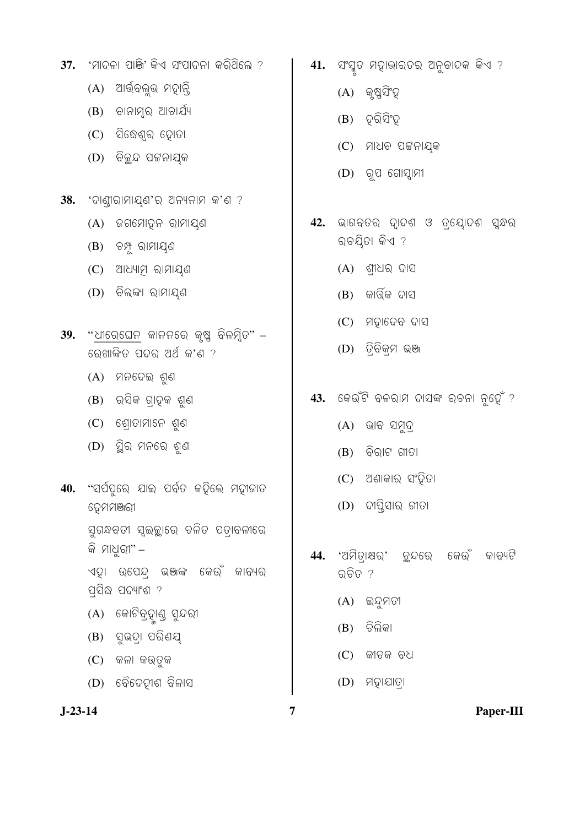- 37. 'ମାଦଳା ପାଞ୍ଜି' କିଏ ସଂପାଦନା କରିଥିଲେ ?
	- (A) ଆର୍ତ୍ତିକଲୁଭ ମହାନ୍ତି
	- $(B)$  ବାନାମ୍ବ ଆଚାର୍ଯ୍ୟ
	- $(C)$  ସିଢେଶ୍ୱର ହୋତା
	- (D) ବିଚ୍ଛନ୍ଦ ପଟ୍ଟନାୟକ
- $38.$  'ଦାଣୀରାମାୟଣ'ର ଅନ୍ୟନାମ କ'ଣ ?
	- (A) ଜଗମୋହନ ରାମାୟଣ
	- (B) ଚ<u>ୁ</u>ଧ ରାମାଯ୍ଣ
	- $(C)$  ଆଧ୍ୟାମ ରାମାୟଣ
	- (D) ଚିଲଙ୍କା ରାମାୟଣ
- $39.$  "ଧୀରେଘେନ କାନନରେ କୃଷ୍ଣ ବିଳମ୍ବିତ" ରେଖାଙ୍କିତ ପଦର ଅର୍ଥ କ'ଣ ?
	- $(A)$  ମନଦେଇ ଶୁଣ
	- $(B)$  ରସିକ ଗ୍ରାତ୍କ ଶୁଣ
	- $(C)$  ଶୋତାମାନେ ଶ୍ର
	- $(D)$  ସୁିର ମନରେ ଶୁଣ
- 40. "ସର୍ପପୁରେ ଯାଇ ପର୍ବତ କଢ଼ିଲେ ମହାଜାତ ଦ୍ରେମମଞ୍ଜରୀ

ସୁଗନ୍ଧବତୀ ସ୍ୱଇଚ୍ଛାରେ ଚଳିତ ପତାବଳୀରେ କି ମାଧୁରୀ" –

ଏହା ଉପେନ୍ଦ୍ର ଭଞ୍ଜଙ୍କ କେଉଁ କାବ୍ୟର ପସିଦ୍ଧ ପଦ୍ୟାଂଶ ?

- (A) କୋଟିବ୍ରହାଣ୍ଡ ସୁନ୍ଦରୀ
- $(B)$  ସୁଭଦ୍। ପରିଣୟ
- $(C)$  କଳା କର୍ତୁକ
- $(D)$  ବୈଦେଦୀଶ ବିଳାସ

 $J-23-14$ 

 $41.$  ସଂସ୍କୃତ ମହାଭାରତର ଅନୁବାଦକ କିଏ ?

- $(A)$  କୃଷ୍ଣସିଂହ
- $(B)$  ଦରିସିଂହ
- $(C)$  ମାଧବ ପଟ୍ଟନାଯ୍କ
- $(D)$  ରୂପ ଗୋସ୍ୱାମୀ
- ଭାଗବତର ଦ୍ୱାଦଶ ଓ ତ୍ୟୋଦଶ ସ୍କନ୍ଧର 42. ରଚୟିତା କିଏ ?
	- $(A)$  ଶୀଧର ଦାସ
	- $(B)$  କାର୍ତ୍ତିକ ଦାସ
	- $(C)$  ମହାଦେବ ଦାସ
	- (D) ତ୍ରିବିକ୍ମ ଭଞା
- $43.$  କେଉଁଟି ବଳରାମ ଦାସଙ୍କ ରଚନା ନୁହେଁ ?
	- $(A)$  ଭାବ ସମୁଦ୍
	- $(B)$  ବିରାଟ ଗୀତା
	- $(C)$  ଅଣାକାର ସଂହିତା
	- $(D)$  ଦୀପ୍ପିସାର ଗୀତା
- 44. 'ଅମିତାଷର' ଚୁନ୍ଦରେ କେଉଁ କାବ୍ୟଟି ର୍ଚିତ ?
	- $(A)$  ଇନ୍ଦ୍ରମତୀ
	- $(B)$  ଚିଲିକା
	- $(C)$  କୀଚକ ବଧ
	- $(D)$  ମହାଯାତ୍ରା

 $\overline{7}$ 

Paper-III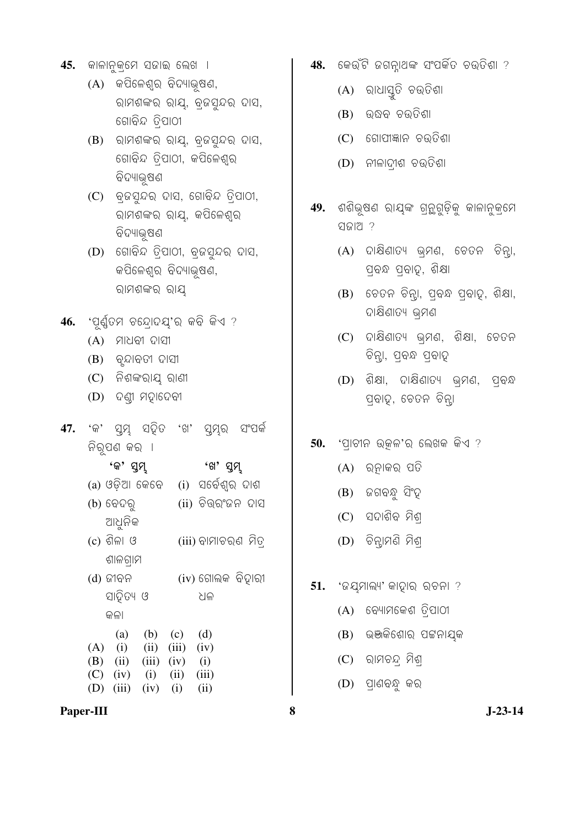- 45. ଜାଳାନୁକ୍ମେ ସଜାଇ ଲେଖ**ା** 
	- $(A)$  କପିଳେଶ୍ୱର ବିଦ୍ୟାଭୂଷଣ, ରାମଶଙ୍କର ରାୟ, ବ୍ଜସୁନ୍ଦର ଦାସ, ଗୋବିନ୍ଦ ତିପାଠୀ
	- $(B)$  ରାମଶଙ୍କର ରାୟ, ବ୍ରନ୍ଦସ୍ନର ଦାସ, ଗୋବିନ୍ଦ ତିପାଠୀ, କପିଳେଶ୍ୱର ବିଦ୍ୟାଭ୍ଷଣ
	- $(C)$  ବ୍ୱଜସ୍ମନ୍ଦର ଦାସ, ଗୋବିନ୍ଦ ତ୍ରିପାଠୀ, ରାମଶଙ୍କର ରାୟ, କପିଳେଶ୍ର ବିଦ୍ୟାଭୂଷଣ
	- $(D)$  ଗୋବିନ୍ଦ ତିପାଠୀ, ବ୍ଜସ୍ନଦର ଦାସ, କପିଳେଶ୍ର ବିଦ୍ୟାଭ୍ଷଣ, ରାମଶଙ୍କର ରାୟ
- 46. **'ପୂର୍ଣ୍ଣତମ ଚନ୍ଦ୍ରୋଦଯ୍'ର କବି କିଏ** ?
	- $(A)$  ମାଧବୀ ଦାସୀ
	- $(B)$  ବ୍ନଦାବତୀ ଦାସୀ
	- $(C)$  ନିଶଙ୍କରାୟ ରାଣୀ
	- (D) ଦଣ୍ଡୀ ମହାଦେବୀ
- **47.** '‹' ªØ£ý ª«ß™ 'Œ' ªØ£ý¥ ªäÇ‹í ନିରୂପଣ କର**ା**

| 'କ' ସୁମ୍ଭ      |               | 'ଖ' ସୁମ୍ଭ           |  |  |
|----------------|---------------|---------------------|--|--|
| (a) ଓଡ଼ିଆ କେବେ |               | (i)  ସର୍ବେଶ୍ୱର ଦାଶ  |  |  |
| (b) ବେଦରୁ      |               | (ii) ଚିଉରଂଜନ ଦାସ    |  |  |
| ଆଧୁନିକ         |               |                     |  |  |
| (c) ଶିଳା ଓ     |               | (iii) ବାମାଚରଣ  ମିତ୍ |  |  |
| ଶାଳଗ୍ରାମ       |               |                     |  |  |
| (d) ଜୀବନ       |               | (iv) ଗୋଲକ ବିହାରୀ    |  |  |
| ସାହିତ୍ୟ ଓ      |               | ଧଳ                  |  |  |
| କଳା            |               |                     |  |  |
| (a)            | (b)<br>(c)    | (d)                 |  |  |
| (i)<br>(A)     | (ii)<br>(iii) | (iv)                |  |  |
| $(B)$ (ii)     | (iii)<br>(iv) | (i)                 |  |  |
| $(C)$ (iv)     | (ii)<br>(i)   | (iii)               |  |  |
| (iii)          | (i)<br>(iv)   | (ii)                |  |  |

**Paper-III** 3 J-23-14

- 48. କେଉଁଟି ଜଗନ୍ନାଥଙ୍କ ସଂପର୍କିତ ଚଉତିଶା ?
	- $(A)$  ରାଧାସୁତି ଚଉତିଶା
	- $(B)$  ଉଦ୍ଧବ ଚଉତିଶା
	- $(C)$  ଗୋପୀଜ୍ଞାନ ଚଉତିଶା
	- (D) ନୀଳାଦୀଶ ଚଉତିଶା
- 49. ଶଶିଭୂଷଣ ରାୟଙ୍କ ଗ୍**ନୁଗୁଡ଼ିକୁ କାଳାନୁକ୍**ମେ ସଜାଅ ?
	- $(A)$  ଦାକ୍ଷିଣାତ୍ୟ ଭ୍ମଣ, ଚେତନ ଚିନ୍ଦା, ପ୍ରବନ୍ଧ ପ୍ରାହ, ଶିକ୍ଷା
	- $(B)$  ଚେତନ ଚିନ୍ତା, ପ୍ରବନ୍ଧ ପ୍ରବାହ, ଶିକ୍ଷା, ଦାଷିଣାତ୍ୟ ଭ୍ମଣ
	- (C) ଦାଷିଣାତ୍ୟ ଭ୍ମଣ, ଶିକ୍ଷା, ଚେତନ ଚିନ୍ତା, ପ୍ରବନ୍ଧ ପ୍ରବାହ
	- (D) ଶିକ୍ଷା, ଦାକ୍ଷିଣାତ୍ୟ ଭ୍ମଣ, ପ୍ବନ୍ଧ ପ୍ରବାହ, ଚେତନ ଚିନ୍<mark>ତା</mark>
- 50. **'ପାଚୀନ ଉ**ଜଳ'ର ଲେଖକ କିଏ ?
	- $(A)$  ର୍ନାକର ପତି
	- $(B)$  ଜଗବନ୍ଧୁ ସିଂହ
	- $(C)$  ସଦାଶିବ ମିଶ୍
	- $(D)$  ଚିନ୍ନାମଣି ମିଶ୍
- 51. 'ଜୟମାଲ୍ୟ' କାହାର ରଚନା ?
	- $(A)$  କେ୍ୟାମକେଶ ତିପାଠୀ
	- (B) ଭଞ୍ଜକିଶୋର ପଟ୍ଟନାୟକ
	- $(C)$  ରାମଚନ୍ଦ୍ର ମିଶ୍
	- $(D)$  ପ୍ରାଣବନ୍ଧୁ କର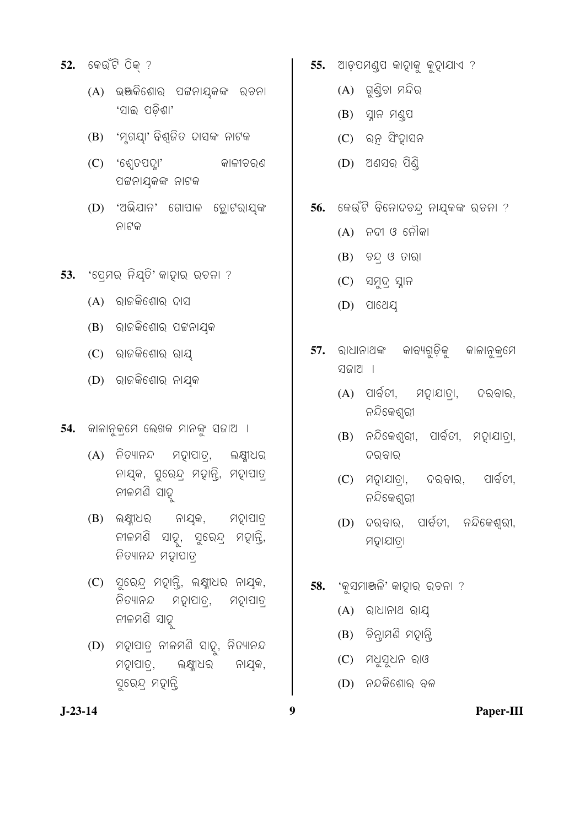- 52. କେଉଁଟି ଠିକ୍ ?
	- (A) ଭଞ୍ଜକିଶୋର ପଟ୍ଟନାଯ୍କଙ୍କ ରଚନା 'ସାଇ ପଡିଶା'
	- (B) 'ମୂଗୟା' ବିଶ୍ଜିତ ଦାସଙ୍କ ନାଟକ
	- $(C)$  'ଶ୍ୱେତପଦ୍ଲା' କାଳୀଚରଣ ପଟ୍ଟନାଯ୍କଙ୍କ ନାଟକ
	- (D) 'ଅଭିଯାନ' ଗୋପାଳ ଚୁୋଟରାୟଙ୍କ ନାଟକ
- 53. 'ପେମର୍ ନିୟତି' କାଦାର୍ ରଚନା ?
	- $(A)$  ରାଜକିଶୋର ଦାସ
	- (B) ରାଜକିଶୋର ପଟ୍ଟନାୟକ
	- $(C)$  ରାଜକିଶୋର ରାୟ
	- (D) ରାଜକିଶୋର ନାୟକ
- 54. କାଳାନୁକ୍ମେ ଲେଖକ ମାନଙ୍କୁ ସଜାଅ ।
	- (A) ନିତ୍ୟାନନ୍ଦ ମହାପାତ୍, ଲକ୍ଷ୍ମୀଧର ନାୟକ, ସୁରେନ୍ଦ୍ର ମହାନ୍ତି, ମହାପାତ୍ ନୀଳମଣି ସାହ
	- ନାୟକ,  $(B)$  ଲକ୍ଷ୍ମୀଧର ମହାପାତ୍ ନୀଳମଣି ସାହ୍, ସୁରେନ୍ଦ୍ର ମହାନ୍ତି, ନିତ୍ୟାନନ୍ଦ ମହାପାତ୍
	- (C) ସୁରେନ୍ଦ୍ର ମତ୍ପାନ୍ତି, ଲକ୍ଷ୍ମୀଧର ନାୟକ, ନିତ୍ୟାନନ୍ଦ ମଦ୍ୱାପାତ୍ର, ମହାପାତ୍ର ନୀଳମଣି ସାହ
	- (D) ମହାପାତ୍ ନୀଳମଣି ସାହ୍, ନିତ୍ୟାନନ୍ଦ ମହାପାତ୍, ଲକ୍ଷ୍ମୀଧର ନାୟକ, ସୁରେନ୍ଦ୍ର ମହାନ୍ଦି
- 55. ଆଡ଼ପମଣ୍ଡପ କାହାକୁ କୁହାଯାଏ ?
	- $(A)$  ଗୁଣ୍ଠିଚା ମନ୍ଦିର
	- $(B)$  ସ୍ନାନ ମଣ୍ଡପ
	- $(C)$  ରତ୍ନ ସିଂହାସନ
	- $(D)$  ଅଣସର ପିଣି
- 56. କେଉଁଟି ବିନୋଦଚନ୍ଦ୍ର ନାୟକଙ୍କ ରଚନା ?
	- $(A)$  ନଦୀ ଓ ନୌକା
	- $(B)$  ଚନ୍ ଓ ତାରା
	- $(C)$  ସମୁଦ୍ ସ୍ନାନ
	- $(D)$  ପାଥେୟ
- 57. ରାଧାନାଥଙ୍କ କାବ୍ୟଗୁଡ଼ିକୁ କାଳାନୁକ୍ମେ ସଜାଅ ।
	- $(A)$  ପାର୍ବତୀ, ମଢ଼ାଯାତା, ଦରବାର. ନନ୍ଦିକେଶ୍ରୀ
	- $(B)$  ନନ୍ଦିକେଶ୍ୱରୀ, ପାର୍ବତୀ, ମହାଯାତ୍ରା, ଦରବାର
	- $(C)$  ମତ୍ନାଯାତା, ଦରବାର, ପାର୍ବତୀ, ନନ୍ଦିକେଶ୍ବରୀ
	- $(D)$  ଦରବାର, ପାର୍ବତୀ, ନନ୍ଦିକେଶ୍ରୀ, ମହାଯାତା
- 58. 'କ୍ସମାଞ୍ଜଳି' କାଦ୍ନାର୍ ରଚନା ?
	- $(A)$  ରାଧାନାଥ ରାୟ
	- (B) ଚିନ୍ଲାମଣି ମହାନ୍ତି
	- $(C)$  ମଧୁସୂଧନ ରାଓ
	- $(D)$  ନନ୍ଦକିଶୋର ବଳ

9

 $J-23-14$ 

Paper-III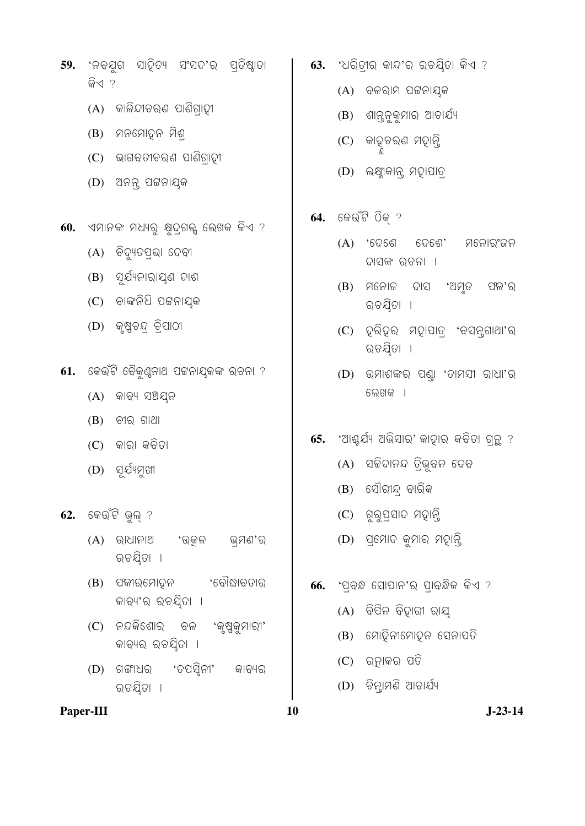- 59. 'ନବଯୁଗ ସାହିତ୍ୟ ସଂସଦ'ର ପ୍ତିଷ୍ଠାତା କିଏ ?
	- $(A)$  କାଳିନ୍ଦୀଚର୍ଣ ପାଣିଗ୍ରାହୀ
	- (B) ମନମୋହନ ମିଶ୍
	- (C) ଭାଗବତୀଚରଣ ପାଣିଗାଦୀ
	- (D) ଅନନ୍ ପଟ୍ଟନାୟକ
- $60.$  ଏମାନଙ୍କ ମଧ୍ୟରୁ କ୍ଷୁଦ୍ଗଲ୍ସ ଲେଖକ କିଏ ?
	- $(A)$  ବିଦ୍ୟୁତପଭା $6$ ଦବୀ
	- $(B)$  ପୂର୍ଯ୍ୟନାରାୟଣ ଦାଶ
	- $(C)$  ଚାଙ୍କନିଧି ପଟ୍ଟନାଯ୍କ
	- $(D)$  କୃଷ୍ଣଚନ୍ ଚିପାଠୀ
- $61.$  କେଉଁଟି ବୈକୁଣ୍ଠନାଥ ପଟ୍ଟନାଯ୍କଙ୍କ ରଚନା ?
	- $(A)$  ଜାବ୍ୟ ସଅୟନ
	- $(B)$  ବୀର ଗାଥା
	- $(C)$  କାରା କବିତା
	- $(D)$  ସର୍ଯ୍ୟମୁଖୀ
- କେଉଁଟି ଭୁଲ୍ ? 62.
	- $(A)$  ରାଧାନାଥ 'ଉୂଜଳ ଭ୍ମଣ'ର ରଚୟିତା ।
	- (B) ପକ୍ଳୀର୍ମୋଦୁନ 'ବୌଦ୍ଧାବତାର କାବ୍ୟ'ର ରଚୟିତା ।
	- (C) ନନ୍ଦକିଶୋର ବଳ 'କୃଷ୍ଣକୁମାରୀ' କାବ୍ୟର ରଚୟିତା **।**
	- 'ତପସ୍ଟିନୀ'  $(D)$  ଗଙ୍ଗାଧର କାବ୍ୟର ରଚୟିତା ।
- Paper-III

63. 'ଧରିତ୍ରୀର କାନ୍ଦ'ର ରଚୟିତା କିଏ ?

- $(A)$  ବଳରାମ ପଟ୍ଟନାଯ୍କ
- (B) ଶାନ୍ତନୁକୁମାର ଆଚାର୍ଯ୍ୟ
- କାହଚରଣ ମହାନ୍ତି  $(C)$
- (D) ଲକ୍ଷ୍ମୀକାନ୍ସ ମହାପାତ୍
- କେଉଁଟି ଠିକ୍ ? 64.
	- $(A)$  'ଦେଶେ ଦେଶେ' ମନୋରଂଜନ ଦାସଙ୍କ ରଚନା **।**
	- $(B)$  ମନୋଜ ଦାସ 'ଅମ୍ତ ଫଳ'ର ରଚୟିତା ।
	- (C) ହରିହର ମହାପାତ୍ 'ବସନ୍ଗାଥା'ର ରଚୟିତା ।
	- (D) ଉମାଶଙ୍କର ପଣ୍ଡା 'ତାମସୀ ରାଧା'ର ଲେଖକ ।
- 'ଆଶ୍ଚର୍ଯ୍ୟ ଅଭିସାର୍' କାଦାର କବିତା ଗନ୍ ? 65.
	- (A) ସଚ୍ଚିଦାନନ୍ଦ ତିଭୁବନ ଦେବ
	- $(B)$  ସୌରୀନ୍ଦ ବାରିକ
	- (C) ଗୁରୁପ୍ରସାଦ ମହାନ୍ତି
	- (D) ପ୍ରମୋଦ କୁମାର ମହାନ୍ତି
- 'ପ୍ରବ୍ଧ ସୋପାନ'ର ପ୍ରାବନ୍ଧିକ କିଏ ? 66.
	- $(A)$  ବିପିନ ବିଦ୍ୱାରୀ ରାୟ
	- (B) ମୋହିନୀମୋହୁନ ସେନାପତି
	- $(C)$  ରନାକର ପତି
	- $(D)$  ଚିନ୍ଦାମଣି ଆଚାର୍ଯ୍ୟ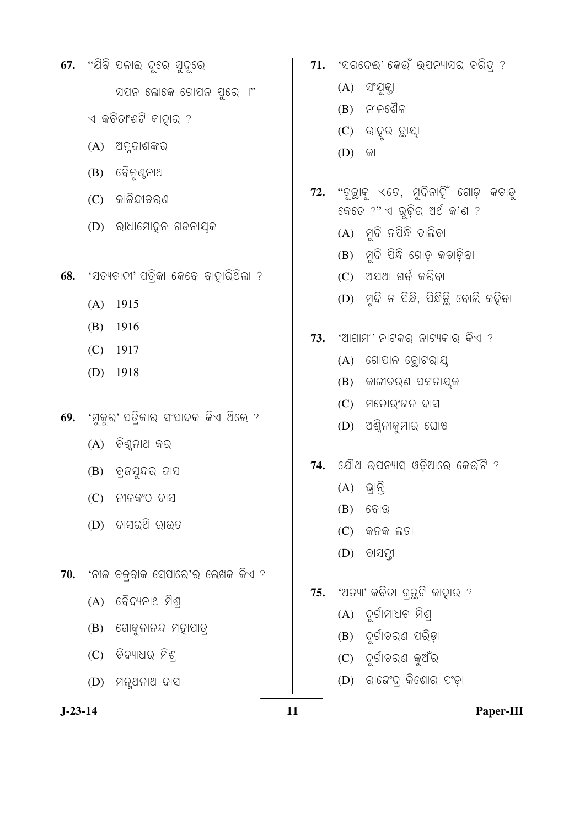- 67. "ଯିବି ପଳାଇ ଦୂରେ ସୁଦୂରେ ସପନ ଲୋକେ ଗୋପନ ପୁରେ ।"  $\triangleleft$  କବିତାଂଶଟି କାହାର ?
	- $(A)$  ଅନୁଦାଶଙ୍କର
	- (B) ଚୈକୁଣ୍ଠନାଥ
	- $(C)$  କାଳିନ୍ଦୀଚରଣ
	- (D) ରାଧାମୋହନ ଗଡନାୟକ
- 'ସତ୍ୟବାଦୀ' ପତିକା କେବେ ବାହାରିଥିଲା ? 68.
	- $(A)$  1915
	- $(B)$  1916
	- $(C)$  1917
	- $(D)$  1918
- 69. 'ମୁକୁର' ପତ୍ରିକାର ସଂପାଦକ କିଏ ଥିଲେ ?
	- $(A)$  ବିଶ୍ଳାଥ କର
	- (B) ବ୍ରନ୍ଦସ୍ନର ଦାସ
	- $(C)$  ନୀଳକଂଠ ଦାସ
	- $(D)$  ଦାସର୍ଥି ରାଉତ
- $70.$  'ନୀଳ ଚକ୍ବାକ ସେପାରେ'ର ଲେଖକ କିଏ ?
	- $(A)$  ବୈଦ୍ୟନାଥ ମିଶ୍
	- $(B)$  ଗୋକୁଳାନନ୍ଦ ମଦ୍ୱାପାତ୍ର
	- $(C)$  ବିଦ୍ୟାଧର ମିଶ୍
	- (D) ମନ୍ସଥନାଥ ଦାସ
- $J-23-14$
- 71. 'ସରଦେଈ' କେଉଁ ଉପନ୍ୟାସର ଚରିତ୍ର ?
	- $(A)$  ସଂଯୁକ୍ତା
	- $(B)$  ନୀଳଶୈଳ
	- $(C)$  ରାହୂର ଚ୍ଛାୟା
	- $(D)$  କା
- 72. "ଦୁଇୁାକୁ ଏତେ, ମୁଦିନାହିଁ ଗୋଡ଼ କଚାଡୁ କେତେ ?"ଏ ରୂଢ଼ିର ଅର୍ଥ କ'ଣ ?
	- $(A)$  ମୂଦି ନପିନ୍ଧି ଚାଲିବା
	- $(B)$  ମୁଦି ପିନ୍ଧି ଗୋଡ଼ କଚାଡ଼ିବା
	- $(C)$  ଅଯଥା ଗର୍ବ କରିବା
	- (D) ମୃଦି ନ ପିନ୍ଧି, ପିନ୍ଧିଚିୁ ବୋଲି କଢ଼ିବା
- $73.$  'ଆଗାମୀ' ନାଟକର ନାଟ୍ୟକାର କିଏ ?
	- $(A)$  ଗୋପାଳ ଚୁୋଟରାୟ
	- $(B)$  କାଳୀଚରଣ ପଟ୍ଟନାଯ୍କ
	- $(C)$  ମନୋରଂଜନ ଦାସ
	- $(D)$  ଅଶ୍ୱିନୀକୁମାର ଘୋଷ
- 74. ଯୌଥ ଉପନ୍ୟାସ ଓଡ଼ିଆରେ କେଉଁଟି ?
	- $(A)$  ଭାନି
	- $(B)$  କୋଉ
	- $(C)$  କନକ ଲତା
	- $(D)$  ବାସନ୍ନୀ
- 75. 'ଅନ୍ୟା' କବିତା ଗ୍ରୁଟି କାହାର ?
	- $(A)$  ଦୁର୍ଗାମାଧବ ମିଶ୍
	- (B) ଦୁର୍ଗାଚରଣ ପରିଡ଼ା
	- (C) ଦୁର୍ଗାଚରଣ କୁଅଁର
	- (D) ରାଜେଂଦ୍ କିଶୋର ପଂଡ଼ା